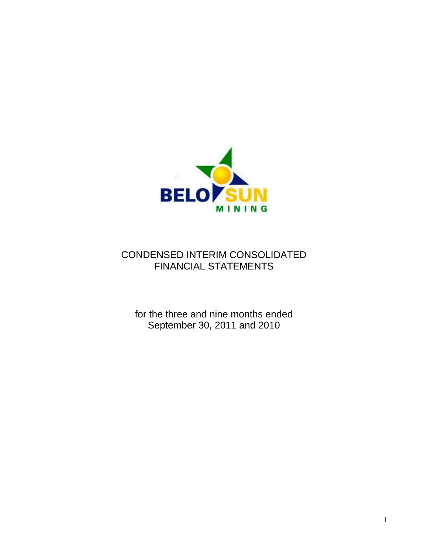

# CONDENSED INTERIM CONSOLIDATED FINANCIAL STATEMENTS

for the three and nine months ended September 30, 2011 and 2010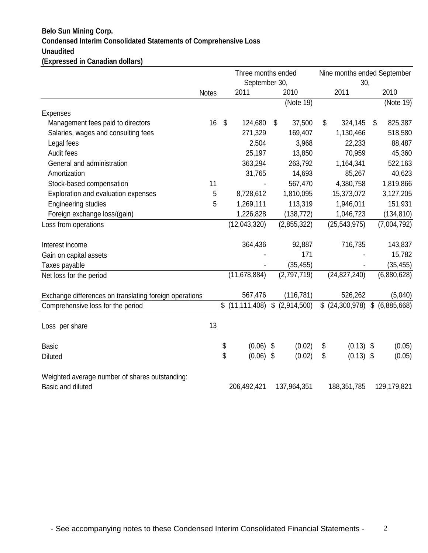## **Condensed Interim Consolidated Statements of Comprehensive Loss Unaudited (Expressed in Canadian dollars) Belo Sun Mining Corp.**

|                                                        | Three months ended<br>September 30, |                           |                              |    |             |    | 30,              | Nine months ended September |             |  |
|--------------------------------------------------------|-------------------------------------|---------------------------|------------------------------|----|-------------|----|------------------|-----------------------------|-------------|--|
|                                                        | <b>Notes</b>                        |                           | 2011                         |    | 2010        |    | 2011             |                             | 2010        |  |
|                                                        |                                     |                           |                              |    | (Note 19)   |    |                  |                             | (Note 19)   |  |
| <b>Expenses</b>                                        |                                     |                           |                              |    |             |    |                  |                             |             |  |
| Management fees paid to directors                      | 16                                  | $\boldsymbol{\mathsf{S}}$ | 124,680                      | \$ | 37,500      | \$ | 324,145          | \$                          | 825,387     |  |
| Salaries, wages and consulting fees                    |                                     |                           | 271,329                      |    | 169,407     |    | 1,130,466        |                             | 518,580     |  |
| Legal fees                                             |                                     |                           | 2,504                        |    | 3,968       |    | 22,233           |                             | 88,487      |  |
| Audit fees                                             |                                     |                           | 25,197                       |    | 13,850      |    | 70,959           |                             | 45,360      |  |
| General and administration                             |                                     |                           | 363,294                      |    | 263,792     |    | 1,164,341        |                             | 522,163     |  |
| Amortization                                           |                                     |                           | 31,765                       |    | 14,693      |    | 85,267           |                             | 40,623      |  |
| Stock-based compensation                               | 11                                  |                           |                              |    | 567,470     |    | 4,380,758        |                             | 1,819,866   |  |
| Exploration and evaluation expenses                    | 5                                   |                           | 8,728,612                    |    | 1,810,095   |    | 15,373,072       |                             | 3,127,205   |  |
| <b>Engineering studies</b>                             | 5                                   |                           | 1,269,111                    |    | 113,319     |    | 1,946,011        |                             | 151,931     |  |
| Foreign exchange loss/(gain)                           |                                     |                           | 1,226,828                    |    | (138, 772)  |    | 1,046,723        |                             | (134, 810)  |  |
| Loss from operations                                   |                                     |                           | (12,043,320)                 |    | (2,855,322) |    | (25, 543, 975)   |                             | (7,004,792) |  |
| Interest income                                        |                                     |                           | 364,436                      |    | 92,887      |    | 716,735          |                             | 143,837     |  |
| Gain on capital assets                                 |                                     |                           |                              |    | 171         |    |                  |                             | 15,782      |  |
| Taxes payable                                          |                                     |                           |                              |    | (35, 455)   |    |                  |                             | (35, 455)   |  |
| Net loss for the period                                |                                     |                           | (11, 678, 884)               |    | (2,797,719) |    | (24, 827, 240)   |                             | (6,880,628) |  |
| Exchange differences on translating foreign operations |                                     |                           | 567,476                      |    | (116, 781)  |    | 526,262          |                             | (5,040)     |  |
| Comprehensive loss for the period                      |                                     |                           | $\overline{\$}$ (11,111,408) | \$ | (2,914,500) |    | $$$ (24,300,978) | \$                          | (6,885,668) |  |
|                                                        |                                     |                           |                              |    |             |    |                  |                             |             |  |
| Loss per share                                         | 13                                  |                           |                              |    |             |    |                  |                             |             |  |
| <b>Basic</b>                                           |                                     | \$                        | (0.06)                       | \$ | (0.02)      | \$ | $(0.13)$ \$      |                             | (0.05)      |  |
| <b>Diluted</b>                                         |                                     | \$                        | $(0.06)$ \$                  |    | (0.02)      | \$ | $(0.13)$ \$      |                             | (0.05)      |  |
| Weighted average number of shares outstanding:         |                                     |                           |                              |    |             |    |                  |                             |             |  |
| Basic and diluted                                      |                                     |                           | 206,492,421                  |    | 137,964,351 |    | 188,351,785      |                             | 129,179,821 |  |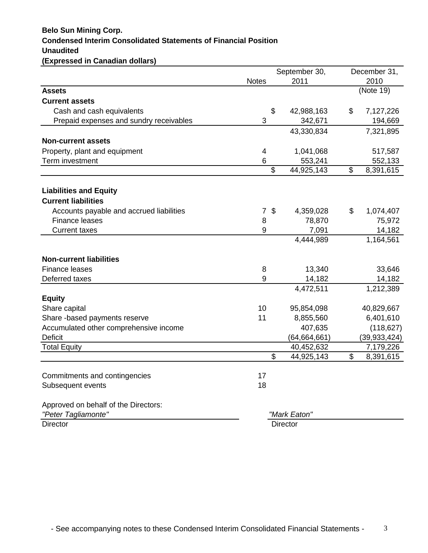## **Condensed Interim Consolidated Statements of Financial Position Unaudited (Expressed in Canadian dollars) Belo Sun Mining Corp.**

|                                                                   |              | September 30,            |                     |                          | December 31,        |  |  |
|-------------------------------------------------------------------|--------------|--------------------------|---------------------|--------------------------|---------------------|--|--|
|                                                                   | <b>Notes</b> | 2011                     |                     |                          | 2010                |  |  |
| <b>Assets</b>                                                     |              |                          |                     |                          | (Note 19)           |  |  |
| <b>Current assets</b>                                             |              |                          |                     |                          |                     |  |  |
| Cash and cash equivalents                                         |              | \$                       | 42,988,163          | \$                       | 7,127,226           |  |  |
| Prepaid expenses and sundry receivables                           | 3            |                          | 342,671             |                          | 194,669             |  |  |
|                                                                   |              |                          | 43,330,834          |                          | 7,321,895           |  |  |
| <b>Non-current assets</b>                                         |              |                          |                     |                          |                     |  |  |
| Property, plant and equipment                                     | 4            |                          | 1,041,068           |                          | 517,587             |  |  |
| Term investment                                                   | 6            |                          | 553,241             |                          | 552,133             |  |  |
|                                                                   |              | $\overline{\mathcal{S}}$ | 44,925,143          | $\overline{\mathcal{G}}$ | 8,391,615           |  |  |
| <b>Liabilities and Equity</b><br><b>Current liabilities</b>       |              |                          |                     |                          |                     |  |  |
|                                                                   |              | \$                       |                     | \$                       |                     |  |  |
| Accounts payable and accrued liabilities<br><b>Finance leases</b> | 7<br>8       |                          | 4,359,028<br>78,870 |                          | 1,074,407<br>75,972 |  |  |
| <b>Current taxes</b>                                              | 9            |                          | 7,091               |                          | 14,182              |  |  |
|                                                                   |              |                          | 4,444,989           |                          | 1,164,561           |  |  |
|                                                                   |              |                          |                     |                          |                     |  |  |
| <b>Non-current liabilities</b>                                    |              |                          |                     |                          |                     |  |  |
| <b>Finance leases</b>                                             | 8            |                          | 13,340              |                          | 33,646              |  |  |
| Deferred taxes                                                    | 9            |                          | 14,182              |                          | 14,182              |  |  |
|                                                                   |              |                          | 4,472,511           |                          | 1,212,389           |  |  |
| <b>Equity</b>                                                     |              |                          |                     |                          |                     |  |  |
| Share capital                                                     | 10           |                          | 95,854,098          |                          | 40,829,667          |  |  |
| Share -based payments reserve                                     | 11           |                          | 8,855,560           |                          | 6,401,610           |  |  |
| Accumulated other comprehensive income                            |              |                          | 407,635             |                          | (118, 627)          |  |  |
| <b>Deficit</b>                                                    |              |                          | (64, 664, 661)      |                          | (39, 933, 424)      |  |  |
| <b>Total Equity</b>                                               |              |                          | 40,452,632          |                          | 7,179,226           |  |  |
|                                                                   |              | $\mathfrak{S}$           | 44,925,143          | $\mathbb{S}$             | 8,391,615           |  |  |
| Commitments and contingencies                                     | 17           |                          |                     |                          |                     |  |  |
| Subsequent events                                                 | 18           |                          |                     |                          |                     |  |  |
| Approved on behalf of the Directors:                              |              |                          |                     |                          |                     |  |  |
| "Peter Tagliamonte"                                               |              |                          | "Mark Eaton"        |                          |                     |  |  |
| <b>Director</b>                                                   |              |                          | <b>Director</b>     |                          |                     |  |  |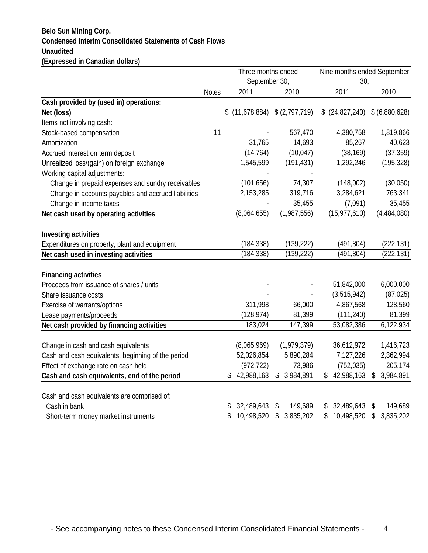## **Condensed Interim Consolidated Statements of Cash Flows Unaudited (Expressed in Canadian dollars) Belo Sun Mining Corp.**

|                                                     |              |                  | Three months ended               | Nine months ended September |                 |  |
|-----------------------------------------------------|--------------|------------------|----------------------------------|-----------------------------|-----------------|--|
|                                                     |              |                  | September 30,                    | 30,                         |                 |  |
|                                                     | <b>Notes</b> | 2011             | 2010                             | 2011                        | 2010            |  |
| Cash provided by (used in) operations:              |              |                  |                                  |                             |                 |  |
| Net (loss)                                          |              |                  | $$$ (11,678,884) $$$ (2,797,719) | (24,827,240)                | \$ (6,880,628)  |  |
| Items not involving cash:                           |              |                  |                                  |                             |                 |  |
| Stock-based compensation                            | 11           |                  | 567,470                          | 4,380,758                   | 1,819,866       |  |
| Amortization                                        |              | 31,765           | 14,693                           | 85,267                      | 40,623          |  |
| Accrued interest on term deposit                    |              | (14, 764)        | (10, 047)                        | (38, 169)                   | (37, 359)       |  |
| Unrealized loss/(gain) on foreign exchange          |              | 1,545,599        | (191, 431)                       | 1,292,246                   | (195, 328)      |  |
| Working capital adjustments:                        |              |                  |                                  |                             |                 |  |
| Change in prepaid expenses and sundry receivables   |              | (101, 656)       | 74,307                           | (148,002)                   | (30,050)        |  |
| Change in accounts payables and accrued liabilities |              | 2,153,285        | 319,716                          | 3,284,621                   | 763,341         |  |
| Change in income taxes                              |              |                  | 35,455                           | (7,091)                     | 35,455          |  |
| Net cash used by operating activities               |              | (8,064,655)      | (1,987,556)                      | (15, 977, 610)              | (4,484,080)     |  |
|                                                     |              |                  |                                  |                             |                 |  |
| <b>Investing activities</b>                         |              |                  |                                  |                             |                 |  |
| Expenditures on property, plant and equipment       |              | (184, 338)       | (139, 222)                       | (491, 804)                  | (222, 131)      |  |
| Net cash used in investing activities               |              | (184, 338)       | (139, 222)                       | (491, 804)                  | (222, 131)      |  |
|                                                     |              |                  |                                  |                             |                 |  |
| <b>Financing activities</b>                         |              |                  |                                  |                             |                 |  |
| Proceeds from issuance of shares / units            |              |                  |                                  | 51,842,000                  | 6,000,000       |  |
| Share issuance costs                                |              |                  |                                  | (3,515,942)                 | (87, 025)       |  |
| Exercise of warrants/options                        |              | 311,998          | 66,000                           | 4,867,568                   | 128,560         |  |
| Lease payments/proceeds                             |              | (128, 974)       | 81,399                           | (111, 240)                  | 81,399          |  |
| Net cash provided by financing activities           |              | 183,024          | 147,399                          | 53,082,386                  | 6,122,934       |  |
|                                                     |              |                  |                                  |                             |                 |  |
| Change in cash and cash equivalents                 |              | (8,065,969)      | (1,979,379)                      | 36,612,972                  | 1,416,723       |  |
| Cash and cash equivalents, beginning of the period  |              | 52,026,854       | 5,890,284                        | 7,127,226                   | 2,362,994       |  |
| Effect of exchange rate on cash held                |              | (972, 722)       | 73,986                           | (752, 035)                  | 205,174         |  |
| Cash and cash equivalents, end of the period        |              | \$42,988,163     | \$<br>3,984,891                  | \$42,988,163                | 3,984,891<br>\$ |  |
|                                                     |              |                  |                                  |                             |                 |  |
| Cash and cash equivalents are comprised of:         |              |                  |                                  |                             |                 |  |
| Cash in bank                                        |              | 32,489,643       | 149,689<br>\$                    | 32,489,643                  | 149,689<br>\$   |  |
| Short-term money market instruments                 |              | 10,498,520<br>\$ | 3,835,202<br>\$                  | 10,498,520<br>\$            | 3,835,202<br>\$ |  |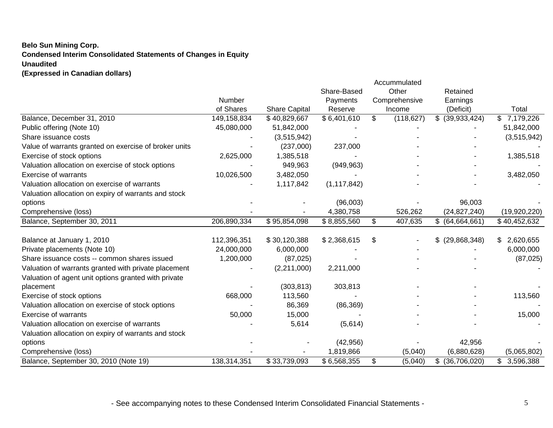## **Belo Sun Mining Corp. Condensed Interim Consolidated Statements of Changes in Equity Unaudited (Expressed in Canadian dollars)**

|                                                       |             |                      |               |    | Accummulated  |                      |                  |
|-------------------------------------------------------|-------------|----------------------|---------------|----|---------------|----------------------|------------------|
|                                                       |             |                      | Share-Based   |    | Other         | Retained             |                  |
|                                                       | Number      |                      | Payments      |    | Comprehensive | Earnings             |                  |
|                                                       | of Shares   | <b>Share Capital</b> | Reserve       |    | Income        | (Deficit)            | Total            |
| Balance, December 31, 2010                            | 149,158,834 | \$40,829,667         | \$6,401,610   | \$ | (118, 627)    | \$<br>(39, 933, 424) | 7,179,226<br>\$. |
| Public offering (Note 10)                             | 45,080,000  | 51,842,000           |               |    |               |                      | 51,842,000       |
| Share issuance costs                                  |             | (3,515,942)          |               |    |               |                      | (3,515,942)      |
| Value of warrants granted on exercise of broker units |             | (237,000)            | 237,000       |    |               |                      |                  |
| Exercise of stock options                             | 2,625,000   | 1,385,518            |               |    |               |                      | 1,385,518        |
| Valuation allocation on exercise of stock options     |             | 949,963              | (949, 963)    |    |               |                      |                  |
| <b>Exercise of warrants</b>                           | 10,026,500  | 3,482,050            |               |    |               |                      | 3,482,050        |
| Valuation allocation on exercise of warrants          |             | 1,117,842            | (1, 117, 842) |    |               |                      |                  |
| Valuation allocation on expiry of warrants and stock  |             |                      |               |    |               |                      |                  |
| options                                               |             |                      | (96,003)      |    |               | 96,003               |                  |
| Comprehensive (loss)                                  |             |                      | 4,380,758     |    | 526,262       | (24, 827, 240)       | (19,920,220)     |
| Balance, September 30, 2011                           | 206,890,334 | \$95,854,098         | \$8,855,560   | S  | 407,635       | \$ (64,664,661)      | \$40,452,632     |
|                                                       |             |                      |               |    |               |                      |                  |
| Balance at January 1, 2010                            | 112,396,351 | \$30,120,388         | \$2,368,615   | \$ |               | $$$ (29,868,348)     | 2,620,655<br>\$  |
| Private placements (Note 10)                          | 24,000,000  | 6,000,000            |               |    |               |                      | 6,000,000        |
| Share issuance costs -- common shares issued          | 1,200,000   | (87, 025)            |               |    |               |                      | (87, 025)        |
| Valuation of warrants granted with private placement  |             | (2,211,000)          | 2,211,000     |    |               |                      |                  |
| Valuation of agent unit options granted with private  |             |                      |               |    |               |                      |                  |
| placement                                             |             | (303, 813)           | 303,813       |    |               |                      |                  |
| Exercise of stock options                             | 668,000     | 113,560              |               |    |               |                      | 113,560          |
| Valuation allocation on exercise of stock options     |             | 86,369               | (86, 369)     |    |               |                      |                  |
| <b>Exercise of warrants</b>                           | 50,000      | 15,000               |               |    |               |                      | 15,000           |
| Valuation allocation on exercise of warrants          |             | 5,614                | (5,614)       |    |               |                      |                  |
| Valuation allocation on expiry of warrants and stock  |             |                      |               |    |               |                      |                  |
| options                                               |             |                      | (42, 956)     |    |               | 42,956               |                  |
| Comprehensive (loss)                                  |             |                      | 1,819,866     |    | (5,040)       | (6,880,628)          | (5,065,802)      |
| Balance, September 30, 2010 (Note 19)                 | 138,314,351 | \$33,739,093         | \$6,568,355   | \$ | (5,040)       | (36,706,020)<br>\$   | \$3,596,388      |

- See accompanying notes to these Condensed Interim Consolidated Financial Statements -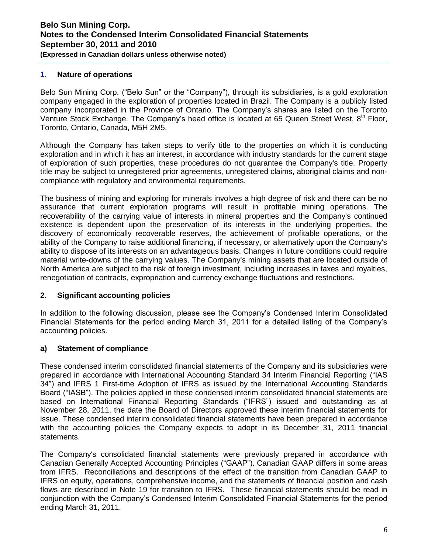#### **1. Nature of operations**

Belo Sun Mining Corp. ("Belo Sun" or the "Company"), through its subsidiaries, is a gold exploration company engaged in the exploration of properties located in Brazil. The Company is a publicly listed company incorporated in the Province of Ontario. The Company's shares are listed on the Toronto Venture Stock Exchange. The Company's head office is located at 65 Queen Street West,  $8<sup>th</sup>$  Floor, Toronto, Ontario, Canada, M5H 2M5.

Although the Company has taken steps to verify title to the properties on which it is conducting exploration and in which it has an interest, in accordance with industry standards for the current stage of exploration of such properties, these procedures do not guarantee the Company's title. Property title may be subject to unregistered prior agreements, unregistered claims, aboriginal claims and noncompliance with regulatory and environmental requirements.

The business of mining and exploring for minerals involves a high degree of risk and there can be no assurance that current exploration programs will result in profitable mining operations. The recoverability of the carrying value of interests in mineral properties and the Company's continued existence is dependent upon the preservation of its interests in the underlying properties, the discovery of economically recoverable reserves, the achievement of profitable operations, or the ability of the Company to raise additional financing, if necessary, or alternatively upon the Company's ability to dispose of its interests on an advantageous basis. Changes in future conditions could require material write-downs of the carrying values. The Company's mining assets that are located outside of North America are subject to the risk of foreign investment, including increases in taxes and royalties, renegotiation of contracts, expropriation and currency exchange fluctuations and restrictions.

## **2. Significant accounting policies**

In addition to the following discussion, please see the Company's Condensed Interim Consolidated Financial Statements for the period ending March 31, 2011 for a detailed listing of the Company's accounting policies.

## **a) Statement of compliance**

These condensed interim consolidated financial statements of the Company and its subsidiaries were prepared in accordance with International Accounting Standard 34 Interim Financial Reporting ("IAS 34") and IFRS 1 First-time Adoption of IFRS as issued by the International Accounting Standards Board ("IASB"). The policies applied in these condensed interim consolidated financial statements are based on International Financial Reporting Standards ("IFRS") issued and outstanding as at November 28, 2011, the date the Board of Directors approved these interim financial statements for issue. These condensed interim consolidated financial statements have been prepared in accordance with the accounting policies the Company expects to adopt in its December 31, 2011 financial statements.

The Company's consolidated financial statements were previously prepared in accordance with Canadian Generally Accepted Accounting Principles ("GAAP"). Canadian GAAP differs in some areas from IFRS. Reconciliations and descriptions of the effect of the transition from Canadian GAAP to IFRS on equity, operations, comprehensive income, and the statements of financial position and cash flows are described in Note 19 for transition to IFRS. These financial statements should be read in conjunction with the Company's Condensed Interim Consolidated Financial Statements for the period ending March 31, 2011.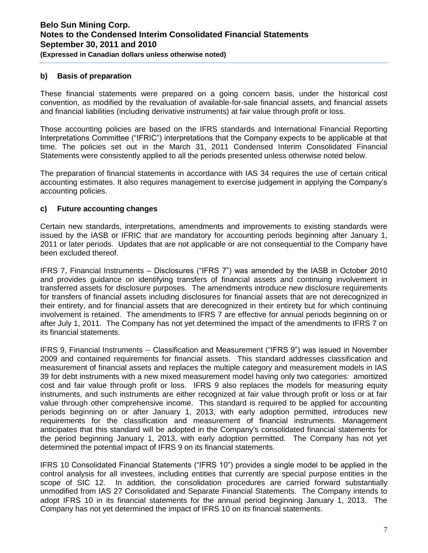### **b) Basis of preparation**

These financial statements were prepared on a going concern basis, under the historical cost convention, as modified by the revaluation of available-for-sale financial assets, and financial assets and financial liabilities (including derivative instruments) at fair value through profit or loss.

Those accounting policies are based on the IFRS standards and International Financial Reporting Interpretations Committee ("IFRIC") interpretations that the Company expects to be applicable at that time. The policies set out in the March 31, 2011 Condensed Interim Consolidated Financial Statements were consistently applied to all the periods presented unless otherwise noted below.

The preparation of financial statements in accordance with IAS 34 requires the use of certain critical accounting estimates. It also requires management to exercise judgement in applying the Company's accounting policies.

#### **c) Future accounting changes**

Certain new standards, interpretations, amendments and improvements to existing standards were issued by the IASB or IFRIC that are mandatory for accounting periods beginning after January 1, 2011 or later periods. Updates that are not applicable or are not consequential to the Company have been excluded thereof.

IFRS 7, Financial Instruments – Disclosures ("IFRS 7") was amended by the IASB in October 2010 and provides guidance on identifying transfers of financial assets and continuing involvement in transferred assets for disclosure purposes. The amendments introduce new disclosure requirements for transfers of financial assets including disclosures for financial assets that are not derecognized in their entirety, and for financial assets that are derecognized in their entirety but for which continuing involvement is retained. The amendments to IFRS 7 are effective for annual periods beginning on or after July 1, 2011. The Company has not yet determined the impact of the amendments to IFRS 7 on its financial statements.

IFRS 9, Financial Instruments -- Classification and Measurement ("IFRS 9") was issued in November 2009 and contained requirements for financial assets. This standard addresses classification and measurement of financial assets and replaces the multiple category and measurement models in IAS 39 for debt instruments with a new mixed measurement model having only two categories: amortized cost and fair value through profit or loss. IFRS 9 also replaces the models for measuring equity instruments, and such instruments are either recognized at fair value through profit or loss or at fair value through other comprehensive income. This standard is required to be applied for accounting periods beginning on or after January 1, 2013, with early adoption permitted, introduces new requirements for the classification and measurement of financial instruments. Management anticipates that this standard will be adopted in the Company's consolidated financial statements for the period beginning January 1, 2013, with early adoption permitted. The Company has not yet determined the potential impact of IFRS 9 on its financial statements.

IFRS 10 Consolidated Financial Statements ("IFRS 10") provides a single model to be applied in the control analysis for all investees, including entities that currently are special purpose entities in the scope of SIC 12. In addition, the consolidation procedures are carried forward substantially unmodified from IAS 27 Consolidated and Separate Financial Statements. The Company intends to adopt IFRS 10 in its financial statements for the annual period beginning January 1, 2013. The Company has not yet determined the impact of IFRS 10 on its financial statements.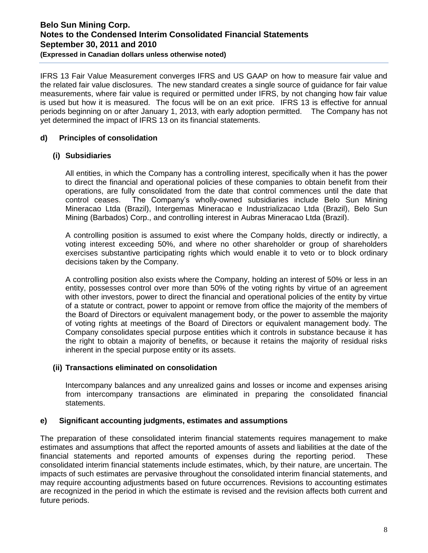IFRS 13 Fair Value Measurement converges IFRS and US GAAP on how to measure fair value and the related fair value disclosures. The new standard creates a single source of guidance for fair value measurements, where fair value is required or permitted under IFRS, by not changing how fair value is used but how it is measured. The focus will be on an exit price. IFRS 13 is effective for annual periods beginning on or after January 1, 2013, with early adoption permitted. The Company has not yet determined the impact of IFRS 13 on its financial statements.

## **d) Principles of consolidation**

## **(i) Subsidiaries**

All entities, in which the Company has a controlling interest, specifically when it has the power to direct the financial and operational policies of these companies to obtain benefit from their operations, are fully consolidated from the date that control commences until the date that control ceases. The Company's wholly-owned subsidiaries include Belo Sun Mining Mineracao Ltda (Brazil), Intergemas Mineracao e Industrializacao Ltda (Brazil), Belo Sun Mining (Barbados) Corp., and controlling interest in Aubras Mineracao Ltda (Brazil).

A controlling position is assumed to exist where the Company holds, directly or indirectly, a voting interest exceeding 50%, and where no other shareholder or group of shareholders exercises substantive participating rights which would enable it to veto or to block ordinary decisions taken by the Company.

A controlling position also exists where the Company, holding an interest of 50% or less in an entity, possesses control over more than 50% of the voting rights by virtue of an agreement with other investors, power to direct the financial and operational policies of the entity by virtue of a statute or contract, power to appoint or remove from office the majority of the members of the Board of Directors or equivalent management body, or the power to assemble the majority of voting rights at meetings of the Board of Directors or equivalent management body. The Company consolidates special purpose entities which it controls in substance because it has the right to obtain a majority of benefits, or because it retains the majority of residual risks inherent in the special purpose entity or its assets.

## **(ii) Transactions eliminated on consolidation**

Intercompany balances and any unrealized gains and losses or income and expenses arising from intercompany transactions are eliminated in preparing the consolidated financial statements.

## **e) Significant accounting judgments, estimates and assumptions**

The preparation of these consolidated interim financial statements requires management to make estimates and assumptions that affect the reported amounts of assets and liabilities at the date of the financial statements and reported amounts of expenses during the reporting period. These consolidated interim financial statements include estimates, which, by their nature, are uncertain. The impacts of such estimates are pervasive throughout the consolidated interim financial statements, and may require accounting adjustments based on future occurrences. Revisions to accounting estimates are recognized in the period in which the estimate is revised and the revision affects both current and future periods.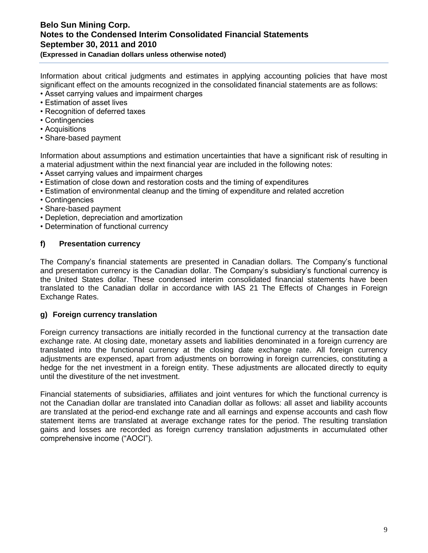**(Expressed in Canadian dollars unless otherwise noted)** 

Information about critical judgments and estimates in applying accounting policies that have most significant effect on the amounts recognized in the consolidated financial statements are as follows:

- Asset carrying values and impairment charges
- Estimation of asset lives
- Recognition of deferred taxes
- Contingencies
- Acquisitions
- Share-based payment

Information about assumptions and estimation uncertainties that have a significant risk of resulting in a material adjustment within the next financial year are included in the following notes:

- Asset carrying values and impairment charges
- Estimation of close down and restoration costs and the timing of expenditures
- Estimation of environmental cleanup and the timing of expenditure and related accretion
- Contingencies
- Share-based payment
- Depletion, depreciation and amortization
- Determination of functional currency

## **f) Presentation currency**

The Company's financial statements are presented in Canadian dollars. The Company's functional and presentation currency is the Canadian dollar. The Company's subsidiary's functional currency is the United States dollar. These condensed interim consolidated financial statements have been translated to the Canadian dollar in accordance with IAS 21 The Effects of Changes in Foreign Exchange Rates.

#### **g) Foreign currency translation**

Foreign currency transactions are initially recorded in the functional currency at the transaction date exchange rate. At closing date, monetary assets and liabilities denominated in a foreign currency are translated into the functional currency at the closing date exchange rate. All foreign currency adjustments are expensed, apart from adjustments on borrowing in foreign currencies, constituting a hedge for the net investment in a foreign entity. These adjustments are allocated directly to equity until the divestiture of the net investment.

Financial statements of subsidiaries, affiliates and joint ventures for which the functional currency is not the Canadian dollar are translated into Canadian dollar as follows: all asset and liability accounts are translated at the period-end exchange rate and all earnings and expense accounts and cash flow statement items are translated at average exchange rates for the period. The resulting translation gains and losses are recorded as foreign currency translation adjustments in accumulated other comprehensive income ("AOCI").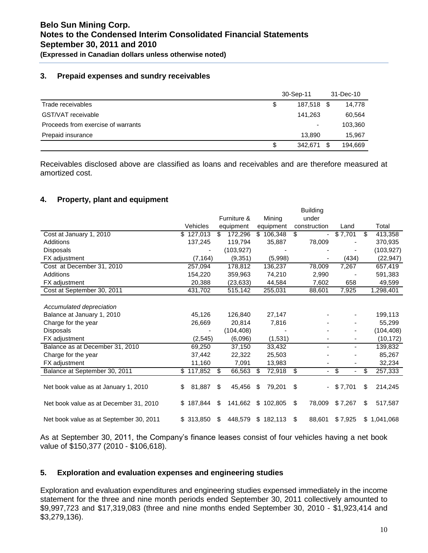### **3. Prepaid expenses and sundry receivables**

|                                    | 30-Sep-11                | 31-Dec-10 |         |  |
|------------------------------------|--------------------------|-----------|---------|--|
| Trade receivables                  | \$<br>187.518            | - \$      | 14.778  |  |
| GST/VAT receivable                 | 141.263                  |           | 60,564  |  |
| Proceeds from exercise of warrants | $\overline{\phantom{0}}$ |           | 103,360 |  |
| Prepaid insurance                  | 13.890                   |           | 15,967  |  |
|                                    | \$<br>342,671            | \$        | 194,669 |  |

Receivables disclosed above are classified as loans and receivables and are therefore measured at amortized cost.

## **4. Property, plant and equipment**

| Total<br>413,358<br>370,935<br>(103, 927)<br>(22, 947)<br>657,419 |
|-------------------------------------------------------------------|
|                                                                   |
|                                                                   |
|                                                                   |
|                                                                   |
|                                                                   |
|                                                                   |
|                                                                   |
| 591,383                                                           |
| 49,599                                                            |
| 1,298,401                                                         |
|                                                                   |
|                                                                   |
| 199,113                                                           |
| 55,299                                                            |
| (104, 408)                                                        |
| (10, 172)                                                         |
| 139,832                                                           |
| 85,267                                                            |
| 32,234                                                            |
| 257,333                                                           |
|                                                                   |
| 214,245                                                           |
|                                                                   |
| 517,587                                                           |
|                                                                   |
| 1.041.068                                                         |
|                                                                   |

As at September 30, 2011, the Company's finance leases consist of four vehicles having a net book value of \$150,377 (2010 - \$106,618).

#### **5. Exploration and evaluation expenses and engineering studies**

Exploration and evaluation expenditures and engineering studies expensed immediately in the income statement for the three and nine month periods ended September 30, 2011 collectively amounted to \$9,997,723 and \$17,319,083 (three and nine months ended September 30, 2010 - \$1,923,414 and \$3,279,136).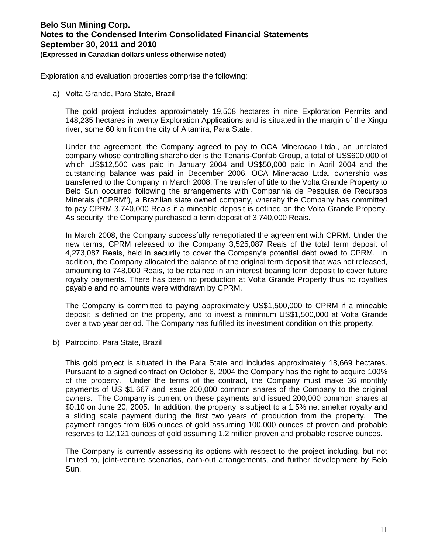Exploration and evaluation properties comprise the following:

a) Volta Grande, Para State, Brazil

The gold project includes approximately 19,508 hectares in nine Exploration Permits and 148,235 hectares in twenty Exploration Applications and is situated in the margin of the Xingu river, some 60 km from the city of Altamira, Para State.

Under the agreement, the Company agreed to pay to OCA Mineracao Ltda., an unrelated company whose controlling shareholder is the Tenaris-Confab Group, a total of US\$600,000 of which US\$12,500 was paid in January 2004 and US\$50,000 paid in April 2004 and the outstanding balance was paid in December 2006. OCA Mineracao Ltda. ownership was transferred to the Company in March 2008. The transfer of title to the Volta Grande Property to Belo Sun occurred following the arrangements with Companhia de Pesquisa de Recursos Minerais ("CPRM"), a Brazilian state owned company, whereby the Company has committed to pay CPRM 3,740,000 Reais if a mineable deposit is defined on the Volta Grande Property. As security, the Company purchased a term deposit of 3,740,000 Reais.

In March 2008, the Company successfully renegotiated the agreement with CPRM. Under the new terms, CPRM released to the Company 3,525,087 Reais of the total term deposit of 4,273,087 Reais, held in security to cover the Company's potential debt owed to CPRM. In addition, the Company allocated the balance of the original term deposit that was not released, amounting to 748,000 Reais, to be retained in an interest bearing term deposit to cover future royalty payments. There has been no production at Volta Grande Property thus no royalties payable and no amounts were withdrawn by CPRM.

The Company is committed to paying approximately US\$1,500,000 to CPRM if a mineable deposit is defined on the property, and to invest a minimum US\$1,500,000 at Volta Grande over a two year period. The Company has fulfilled its investment condition on this property.

b) Patrocino, Para State, Brazil

This gold project is situated in the Para State and includes approximately 18,669 hectares. Pursuant to a signed contract on October 8, 2004 the Company has the right to acquire 100% of the property. Under the terms of the contract, the Company must make 36 monthly payments of US \$1,667 and issue 200,000 common shares of the Company to the original owners. The Company is current on these payments and issued 200,000 common shares at \$0.10 on June 20, 2005. In addition, the property is subject to a 1.5% net smelter royalty and a sliding scale payment during the first two years of production from the property. The payment ranges from 606 ounces of gold assuming 100,000 ounces of proven and probable reserves to 12,121 ounces of gold assuming 1.2 million proven and probable reserve ounces.

The Company is currently assessing its options with respect to the project including, but not limited to, joint-venture scenarios, earn-out arrangements, and further development by Belo Sun.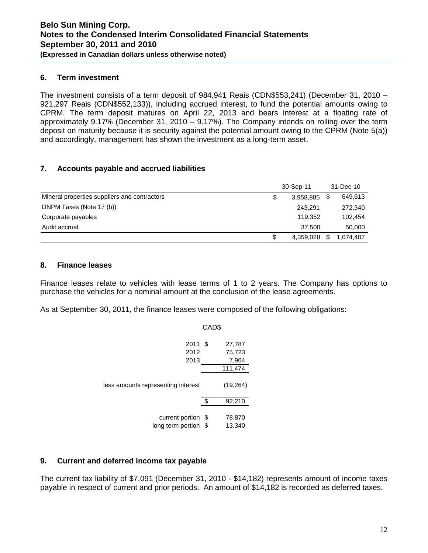### **6. Term investment**

The investment consists of a term deposit of 984,941 Reais (CDN\$553,241) (December 31, 2010 – 921,297 Reais (CDN\$552,133)), including accrued interest, to fund the potential amounts owing to CPRM. The term deposit matures on April 22, 2013 and bears interest at a floating rate of approximately 9.17% (December 31, 2010 – 9.17%). The Company intends on rolling over the term deposit on maturity because it is security against the potential amount owing to the CPRM (Note 5(a)) and accordingly, management has shown the investment as a long-term asset.

## **7. Accounts payable and accrued liabilities**

|                                              | 30-Sep-11 |           |    | 31-Dec-10 |
|----------------------------------------------|-----------|-----------|----|-----------|
| Mineral properties suppliers and contractors |           | 3,958,885 | \$ | 649,613   |
| DNPM Taxes (Note 17 (b))                     |           | 243.291   |    | 272,340   |
| Corporate payables                           |           | 119.352   |    | 102,454   |
| Audit accrual                                |           | 37.500    |    | 50,000    |
|                                              |           | 4,359,028 | \$ | 1.074.407 |

#### **8. Finance leases**

Finance leases relate to vehicles with lease terms of 1 to 2 years. The Company has options to purchase the vehicles for a nominal amount at the conclusion of the lease agreements.

As at September 30, 2011, the finance leases were composed of the following obligations:

|                                         | CAD\$ |                  |
|-----------------------------------------|-------|------------------|
| 2011<br>2012                            | \$    | 27,787<br>75,723 |
| 2013                                    |       | 7,964<br>111,474 |
| less amounts representing interest      |       | (19, 264)        |
|                                         | ፍ     | 92,210           |
| current portion \$<br>long term portion | \$    | 78,870<br>13,340 |

## **9. Current and deferred income tax payable**

The current tax liability of \$7,091 (December 31, 2010 - \$14,182) represents amount of income taxes payable in respect of current and prior periods. An amount of \$14,182 is recorded as deferred taxes.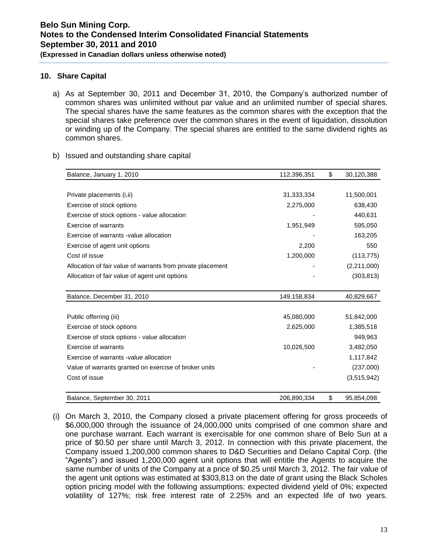#### **10. Share Capital**

- a) As at September 30, 2011 and December 31, 2010, the Company's authorized number of common shares was unlimited without par value and an unlimited number of special shares. The special shares have the same features as the common shares with the exception that the special shares take preference over the common shares in the event of liquidation, dissolution or winding up of the Company. The special shares are entitled to the same dividend rights as common shares.
- b) Issued and outstanding share capital

| Balance, January 1, 2010                                    | 112,396,351 | \$<br>30,120,388 |
|-------------------------------------------------------------|-------------|------------------|
|                                                             |             |                  |
| Private placements (i,ii)                                   | 31,333,334  | 11,500,001       |
| Exercise of stock options                                   | 2,275,000   | 638,430          |
| Exercise of stock options - value allocation                |             | 440,631          |
| Exercise of warrants                                        | 1,951,949   | 595,050          |
| Exercise of warrants -value allocation                      |             | 163,205          |
| Exercise of agent unit options                              | 2,200       | 550              |
| Cost of issue                                               | 1,200,000   | (113, 775)       |
| Allocation of fair value of warrants from private placement |             | (2,211,000)      |
| Allocation of fair value of agent unit options              |             | (303, 813)       |
|                                                             |             |                  |
| Balance, December 31, 2010                                  | 149,158,834 | 40,829,667       |
|                                                             |             |                  |
| Public offerring (iii)                                      | 45,080,000  | 51,842,000       |
| Exercise of stock options                                   | 2,625,000   | 1,385,518        |
| Exercise of stock options - value allocation                |             | 949,963          |
| <b>Exercise of warrants</b>                                 | 10,026,500  | 3,482,050        |
| Exercise of warrants -value allocation                      |             | 1,117,842        |
| Value of warrants granted on exercise of broker units       |             | (237,000)        |
| Cost of issue                                               |             | (3,515,942)      |
|                                                             |             |                  |
| Balance, September 30, 2011                                 | 206,890,334 | \$<br>95,854,098 |

(i) On March 3, 2010, the Company closed a private placement offering for gross proceeds of \$6,000,000 through the issuance of 24,000,000 units comprised of one common share and one purchase warrant. Each warrant is exercisable for one common share of Belo Sun at a price of \$0.50 per share until March 3, 2012. In connection with this private placement, the Company issued 1,200,000 common shares to D&D Securities and Delano Capital Corp. (the "Agents") and issued 1,200,000 agent unit options that will entitle the Agents to acquire the same number of units of the Company at a price of \$0.25 until March 3, 2012. The fair value of the agent unit options was estimated at \$303,813 on the date of grant using the Black Scholes option pricing model with the following assumptions: expected dividend yield of 0%; expected volatility of 127%; risk free interest rate of 2.25% and an expected life of two years.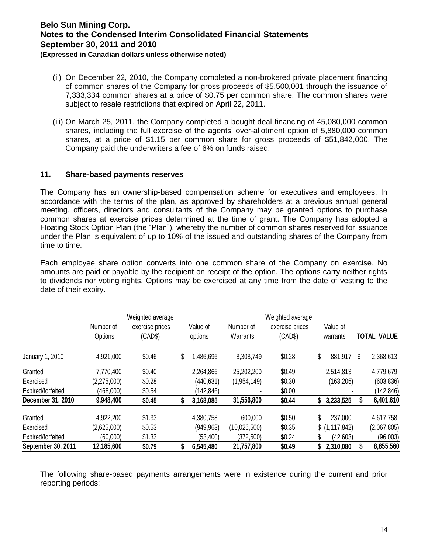**(Expressed in Canadian dollars unless otherwise noted)** 

- (ii) On December 22, 2010, the Company completed a non-brokered private placement financing of common shares of the Company for gross proceeds of \$5,500,001 through the issuance of 7,333,334 common shares at a price of \$0.75 per common share. The common shares were subject to resale restrictions that expired on April 22, 2011.
- (iii) On March 25, 2011, the Company completed a bought deal financing of 45,080,000 common shares, including the full exercise of the agents' over-allotment option of 5,880,000 common shares, at a price of \$1.15 per common share for gross proceeds of \$51,842,000. The Company paid the underwriters a fee of 6% on funds raised.

## **11. Share-based payments reserves**

The Company has an ownership-based compensation scheme for executives and employees. In accordance with the terms of the plan, as approved by shareholders at a previous annual general meeting, officers, directors and consultants of the Company may be granted options to purchase common shares at exercise prices determined at the time of grant. The Company has adopted a Floating Stock Option Plan (the "Plan"), whereby the number of common shares reserved for issuance under the Plan is equivalent of up to 10% of the issued and outstanding shares of the Company from time to time.

Each employee share option converts into one common share of the Company on exercise. No amounts are paid or payable by the recipient on receipt of the option. The options carry neither rights to dividends nor voting rights. Options may be exercised at any time from the date of vesting to the date of their expiry.

|                    | Number of<br>Options | Weighted average<br>exercise prices<br>(CAD\$) | Value of<br>options | Number of<br>Warrants | Weighted average<br>exercise prices<br>(CAD\$) |    | Value of<br>warrants |   | <b>TOTAL VALUE</b> |
|--------------------|----------------------|------------------------------------------------|---------------------|-----------------------|------------------------------------------------|----|----------------------|---|--------------------|
| January 1, 2010    | 4,921,000            | \$0.46                                         | \$<br>,486,696      | 8,308,749             | \$0.28                                         | \$ | 881,917              | S | 2,368,613          |
| Granted            | 7,770,400            | \$0.40                                         | 2,264,866           | 25,202,200            | \$0.49                                         |    | 2,514,813            |   | 4,779,679          |
| Exercised          | (2,275,000)          | \$0.28                                         | (440,631)           | (1,954,149)           | \$0.30                                         |    | (163, 205)           |   | (603, 836)         |
| Expired/forfeited  | (468,000)            | \$0.54                                         | (142, 846)          |                       | \$0.00                                         |    |                      |   | (142, 846)         |
| December 31, 2010  | 9,948,400            | \$0.45                                         | 3,168,085           | 31,556,800            | \$0.44                                         | S  | 3,233,525            |   | 6,401,610          |
| Granted            | 4,922,200            | \$1.33                                         | 4,380,758           | 600,000               | \$0.50                                         | \$ | 237,000              |   | 4,617,758          |
| Exercised          | (2,625,000)          | \$0.53                                         | (949, 963)          | (10,026,500)          | \$0.35                                         |    | \$(1,117,842)        |   | (2,067,805)        |
| Expired/forfeited  | (60,000)             | \$1.33                                         | (53, 400)           | (372, 500)            | \$0.24                                         | S  | (42, 603)            |   | (96,003)           |
| September 30, 2011 | 12,185,600           | \$0.79                                         | 6,545,480           | 21,757,800            | \$0.49                                         | S  | 2,310,080            |   | 8,855,560          |

The following share-based payments arrangements were in existence during the current and prior reporting periods: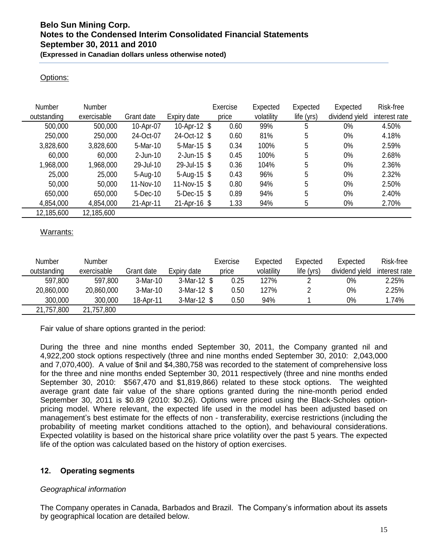## Options:

| Number      | <b>Number</b> |              |                 | Exercise | Expected   | Expected   | Expected       | Risk-free     |
|-------------|---------------|--------------|-----------------|----------|------------|------------|----------------|---------------|
| outstanding | exercisable   | Grant date   | Expiry date     | price    | volatility | life (yrs) | dividend yield | interest rate |
| 500,000     | 500,000       | 10-Apr-07    | 10-Apr-12 \$    | 0.60     | 99%        | 5          | $0\%$          | 4.50%         |
| 250,000     | 250,000       | 24-Oct-07    | 24-Oct-12 \$    | 0.60     | 81%        | 5          | $0\%$          | 4.18%         |
| 3,828,600   | 3,828,600     | 5-Mar-10     | 5-Mar-15 \$     | 0.34     | 100%       | 5          | $0\%$          | 2.59%         |
| 60,000      | 60,000        | $2$ -Jun-10  | $2$ -Jun-15 $$$ | 0.45     | 100%       | 5          | $0\%$          | 2.68%         |
| 1,968,000   | 1,968,000     | 29-Jul-10    | 29-Jul-15 \$    | 0.36     | 104%       | 5          | $0\%$          | 2.36%         |
| 25,000      | 25,000        | $5 - Aug-10$ | 5-Aug-15 $$$    | 0.43     | 96%        | 5          | $0\%$          | 2.32%         |
| 50,000      | 50,000        | 11-Nov-10    | 11-Nov-15 \$    | 0.80     | 94%        | 5          | $0\%$          | 2.50%         |
| 650,000     | 650,000       | 5-Dec-10     | $5$ -Dec-15 \$  | 0.89     | 94%        | 5          | $0\%$          | 2.40%         |
| 4,854,000   | 4,854,000     | 21-Apr-11    | $21-Apr-16$ \$  | 1.33     | 94%        | 5          | $0\%$          | 2.70%         |
| 12,185,600  | 12,185,600    |              |                 |          |            |            |                |               |

## Warrants:

| <b>Number</b> | Number      |            |             | Exercise | Expected   | Expected   | Expected       | Risk-free     |
|---------------|-------------|------------|-------------|----------|------------|------------|----------------|---------------|
| outstanding   | exercisable | Grant date | Expiry date | price    | volatility | life (yrs) | dividend yield | interest rate |
| 597,800       | 597,800     | 3-Mar-10   | 3-Mar-12 \$ | 0.25     | 127%       |            | 0%             | 2.25%         |
| 20,860,000    | 20,860,000  | 3-Mar-10   | 3-Mar-12 \$ | 0.50     | 127%       |            | $0\%$          | 2.25%         |
| 300,000       | 300,000     | 18-Apr-11  | 3-Mar-12 \$ | 0.50     | 94%        |            | 0%             | 1.74%         |
| 21,757,800    | 21,757,800  |            |             |          |            |            |                |               |

Fair value of share options granted in the period:

During the three and nine months ended September 30, 2011, the Company granted nil and 4,922,200 stock options respectively (three and nine months ended September 30, 2010: 2,043,000 and 7,070,400). A value of \$nil and \$4,380,758 was recorded to the statement of comprehensive loss for the three and nine months ended September 30, 2011 respectively (three and nine months ended September 30, 2010: \$567,470 and \$1,819,866) related to these stock options. The weighted average grant date fair value of the share options granted during the nine-month period ended September 30, 2011 is \$0.89 (2010: \$0.26). Options were priced using the Black-Scholes optionpricing model. Where relevant, the expected life used in the model has been adjusted based on management's best estimate for the effects of non - transferability, exercise restrictions (including the probability of meeting market conditions attached to the option), and behavioural considerations. Expected volatility is based on the historical share price volatility over the past 5 years. The expected life of the option was calculated based on the history of option exercises.

## **12. Operating segments**

## *Geographical information*

The Company operates in Canada, Barbados and Brazil. The Company's information about its assets by geographical location are detailed below.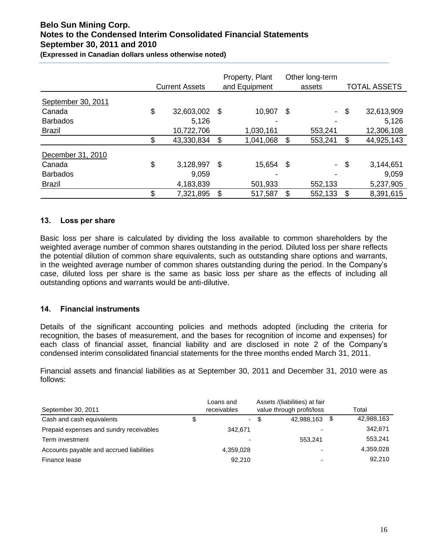**(Expressed in Canadian dollars unless otherwise noted)** 

|                    | <b>Current Assets</b> |               | Property, Plant<br>and Equipment | Other long-term<br>assets | <b>TOTAL ASSETS</b> |
|--------------------|-----------------------|---------------|----------------------------------|---------------------------|---------------------|
| September 30, 2011 |                       |               |                                  |                           |                     |
| Canada             | \$<br>32,603,002      | \$            | 10,907                           | \$<br>$\sim$              | \$<br>32,613,909    |
| <b>Barbados</b>    | 5.126                 |               |                                  | ٠                         | 5,126               |
| <b>Brazil</b>      | 10,722,706            |               | 1,030,161                        | 553,241                   | 12,306,108          |
|                    | \$<br>43,330,834      | \$            | 1,041,068                        | \$<br>553,241             | \$<br>44,925,143    |
| December 31, 2010  |                       |               |                                  |                           |                     |
| Canada             | \$<br>3,128,997       | $\mathcal{S}$ | 15,654                           | \$<br>$\sim$              | \$<br>3,144,651     |
| <b>Barbados</b>    | 9,059                 |               |                                  |                           | 9,059               |
| <b>Brazil</b>      | 4,183,839             |               | 501,933                          | 552,133                   | 5,237,905           |
|                    | \$<br>7,321,895       | \$            | 517,587                          | \$<br>552,133             | \$<br>8,391,615     |

## **13. Loss per share**

Basic loss per share is calculated by dividing the loss available to common shareholders by the weighted average number of common shares outstanding in the period. Diluted loss per share reflects the potential dilution of common share equivalents, such as outstanding share options and warrants, in the weighted average number of common shares outstanding during the period. In the Company's case, diluted loss per share is the same as basic loss per share as the effects of including all outstanding options and warrants would be anti-dilutive.

## **14. Financial instruments**

Details of the significant accounting policies and methods adopted (including the criteria for recognition, the bases of measurement, and the bases for recognition of income and expenses) for each class of financial asset, financial liability and are disclosed in note 2 of the Company's condensed interim consolidated financial statements for the three months ended March 31, 2011.

Financial assets and financial liabilities as at September 30, 2011 and December 31, 2010 were as follows:

| September 30, 2011                       | Loans and<br>receivables       | Assets /(liabilities) at fair<br>value through profit/loss |      | Total      |
|------------------------------------------|--------------------------------|------------------------------------------------------------|------|------------|
| Cash and cash equivalents                | \$<br>$\overline{\phantom{a}}$ | \$<br>42,988,163                                           | - \$ | 42,988,163 |
| Prepaid expenses and sundry receivables  | 342.671                        |                                                            |      | 342,671    |
| Term investment                          | ۰                              | 553.241                                                    |      | 553,241    |
| Accounts payable and accrued liabilities | 4.359.028                      |                                                            |      | 4,359,028  |
| Finance lease                            | 92.210                         |                                                            |      | 92,210     |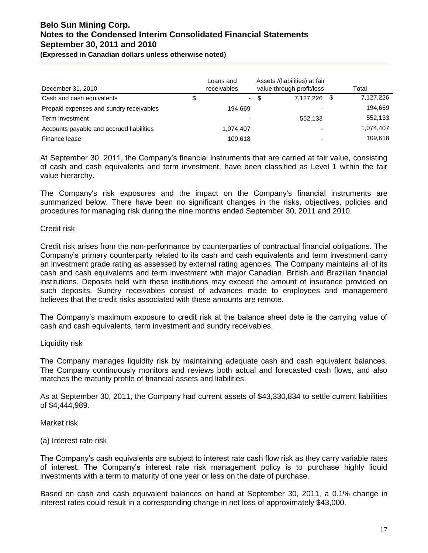**(Expressed in Canadian dollars unless otherwise noted)** 

| December 31, 2010                        | Loans and<br>receivables |      | Assets /(liabilities) at fair<br>value through profit/loss |      | Total     |
|------------------------------------------|--------------------------|------|------------------------------------------------------------|------|-----------|
| Cash and cash equivalents                | \$<br>$\sim$             | - \$ | 7.127.226                                                  | - \$ | 7,127,226 |
| Prepaid expenses and sundry receivables  | 194.669                  |      |                                                            |      | 194,669   |
| Term investment                          | $\overline{\phantom{0}}$ |      | 552.133                                                    |      | 552,133   |
| Accounts payable and accrued liabilities | 1.074.407                |      |                                                            |      | 1,074,407 |
| Finance lease                            | 109.618                  |      |                                                            |      | 109,618   |

At September 30, 2011, the Company's financial instruments that are carried at fair value, consisting of cash and cash equivalents and term investment, have been classified as Level 1 within the fair value hierarchy.

The Company's risk exposures and the impact on the Company's financial instruments are summarized below. There have been no significant changes in the risks, objectives, policies and procedures for managing risk during the nine months ended September 30, 2011 and 2010.

#### Credit risk

Credit risk arises from the non-performance by counterparties of contractual financial obligations. The Company's primary counterparty related to its cash and cash equivalents and term investment carry an investment grade rating as assessed by external rating agencies. The Company maintains all of its cash and cash equivalents and term investment with major Canadian, British and Brazilian financial institutions. Deposits held with these institutions may exceed the amount of insurance provided on such deposits. Sundry receivables consist of advances made to employees and management believes that the credit risks associated with these amounts are remote.

The Company's maximum exposure to credit risk at the balance sheet date is the carrying value of cash and cash equivalents, term investment and sundry receivables.

#### Liquidity risk

The Company manages liquidity risk by maintaining adequate cash and cash equivalent balances. The Company continuously monitors and reviews both actual and forecasted cash flows, and also matches the maturity profile of financial assets and liabilities.

As at September 30, 2011, the Company had current assets of \$43,330,834 to settle current liabilities of \$4,444,989.

Market risk

#### (a) Interest rate risk

The Company's cash equivalents are subject to interest rate cash flow risk as they carry variable rates of interest. The Company's interest rate risk management policy is to purchase highly liquid investments with a term to maturity of one year or less on the date of purchase.

Based on cash and cash equivalent balances on hand at September 30, 2011, a 0.1% change in interest rates could result in a corresponding change in net loss of approximately \$43,000.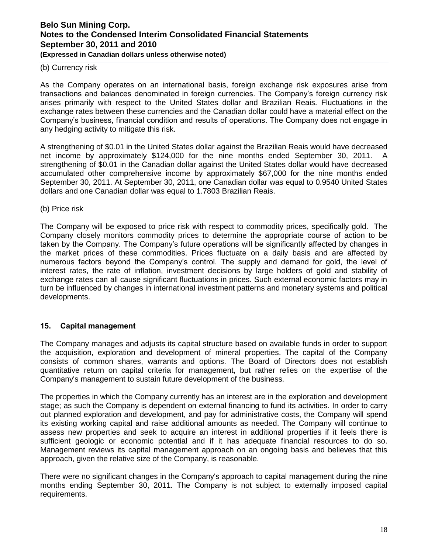**(Expressed in Canadian dollars unless otherwise noted)** 

#### (b) Currency risk

As the Company operates on an international basis, foreign exchange risk exposures arise from transactions and balances denominated in foreign currencies. The Company's foreign currency risk arises primarily with respect to the United States dollar and Brazilian Reais. Fluctuations in the exchange rates between these currencies and the Canadian dollar could have a material effect on the Company's business, financial condition and results of operations. The Company does not engage in any hedging activity to mitigate this risk.

A strengthening of \$0.01 in the United States dollar against the Brazilian Reais would have decreased net income by approximately \$124,000 for the nine months ended September 30, 2011. A strengthening of \$0.01 in the Canadian dollar against the United States dollar would have decreased accumulated other comprehensive income by approximately \$67,000 for the nine months ended September 30, 2011. At September 30, 2011, one Canadian dollar was equal to 0.9540 United States dollars and one Canadian dollar was equal to 1.7803 Brazilian Reais.

(b) Price risk

The Company will be exposed to price risk with respect to commodity prices, specifically gold. The Company closely monitors commodity prices to determine the appropriate course of action to be taken by the Company. The Company's future operations will be significantly affected by changes in the market prices of these commodities. Prices fluctuate on a daily basis and are affected by numerous factors beyond the Company's control. The supply and demand for gold, the level of interest rates, the rate of inflation, investment decisions by large holders of gold and stability of exchange rates can all cause significant fluctuations in prices. Such external economic factors may in turn be influenced by changes in international investment patterns and monetary systems and political developments.

## **15. Capital management**

The Company manages and adjusts its capital structure based on available funds in order to support the acquisition, exploration and development of mineral properties. The capital of the Company consists of common shares, warrants and options. The Board of Directors does not establish quantitative return on capital criteria for management, but rather relies on the expertise of the Company's management to sustain future development of the business.

The properties in which the Company currently has an interest are in the exploration and development stage; as such the Company is dependent on external financing to fund its activities. In order to carry out planned exploration and development, and pay for administrative costs, the Company will spend its existing working capital and raise additional amounts as needed. The Company will continue to assess new properties and seek to acquire an interest in additional properties if it feels there is sufficient geologic or economic potential and if it has adequate financial resources to do so. Management reviews its capital management approach on an ongoing basis and believes that this approach, given the relative size of the Company, is reasonable.

There were no significant changes in the Company's approach to capital management during the nine months ending September 30, 2011. The Company is not subject to externally imposed capital requirements.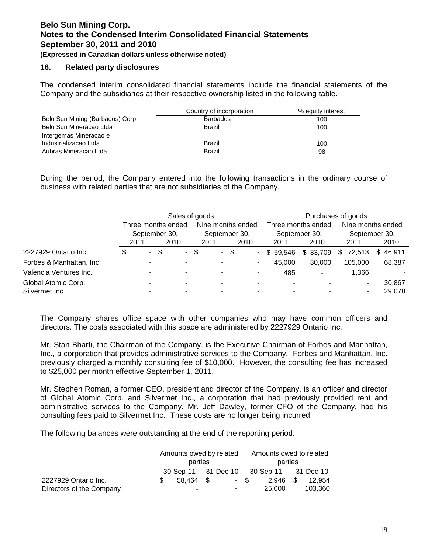**(Expressed in Canadian dollars unless otherwise noted)** 

## **16. Related party disclosures**

The condensed interim consolidated financial statements include the financial statements of the Company and the subsidiaries at their respective ownership listed in the following table.

|                                  | Country of incorporation | % equity interest |
|----------------------------------|--------------------------|-------------------|
| Belo Sun Mining (Barbados) Corp. | <b>Barbados</b>          | 100               |
| Belo Sun Mineracao Ltda          | Brazil                   | 100               |
| Intergemas Mineracao e           |                          |                   |
| Industrializacao Ltda            | Brazil                   | 100               |
| Aubras Mineracao Ltda            | Brazil                   | 98                |

During the period, the Company entered into the following transactions in the ordinary course of business with related parties that are not subsidiaries of the Company.

|                          |                       |        |     | Sales of goods     |                       |      |      |                          |                       |          | Purchases of goods    |               |  |
|--------------------------|-----------------------|--------|-----|--------------------|-----------------------|------|------|--------------------------|-----------------------|----------|-----------------------|---------------|--|
|                          |                       |        |     | Three months ended | Nine months ended     |      |      |                          | Three months ended    |          | Nine months ended     |               |  |
|                          | September 30,<br>2011 |        |     | 2010               | September 30,<br>2011 |      | 2010 |                          | September 30,<br>2011 | 2010     | September 30,<br>2011 | 2010          |  |
| 2227929 Ontario Inc.     | \$                    | $\sim$ | -\$ | ۰.                 | \$                    | - \$ |      | $\overline{\phantom{0}}$ | \$59.546              | \$33,709 | \$172,513             | 46,911<br>\$. |  |
| Forbes & Manhattan, Inc. |                       |        |     |                    |                       |      |      | ۰                        | 45.000                | 30,000   | 105,000               | 68,387        |  |
| Valencia Ventures Inc.   |                       |        |     |                    |                       |      |      |                          | 485                   | ۰        | 1,366                 |               |  |
| Global Atomic Corp.      |                       |        |     |                    | -                     |      |      |                          |                       |          |                       | 30.867        |  |
| Silvermet Inc.           |                       |        |     |                    |                       |      |      |                          |                       |          |                       | 29,078        |  |

The Company shares office space with other companies who may have common officers and directors. The costs associated with this space are administered by 2227929 Ontario Inc.

Mr. Stan Bharti, the Chairman of the Company, is the Executive Chairman of Forbes and Manhattan, Inc., a corporation that provides administrative services to the Company. Forbes and Manhattan, Inc. previously charged a monthly consulting fee of \$10,000. However, the consulting fee has increased to \$25,000 per month effective September 1, 2011.

Mr. Stephen Roman, a former CEO, president and director of the Company, is an officer and director of Global Atomic Corp. and Silvermet Inc., a corporation that had previously provided rent and administrative services to the Company. Mr. Jeff Dawley, former CFO of the Company, had his consulting fees paid to Silvermet Inc. These costs are no longer being incurred.

The following balances were outstanding at the end of the reporting period:

|                          | Amounts owed by related |      | Amounts owed to related |         |
|--------------------------|-------------------------|------|-------------------------|---------|
|                          | parties                 |      | parties                 |         |
|                          | 30-Sep-11 31-Dec-10     |      | 30-Sep-11 31-Dec-10     |         |
| 2227929 Ontario Inc.     | 58.464 \$               | - \$ | 2.946                   | 12.954  |
| Directors of the Company |                         | ۰.   | 25.000                  | 103.360 |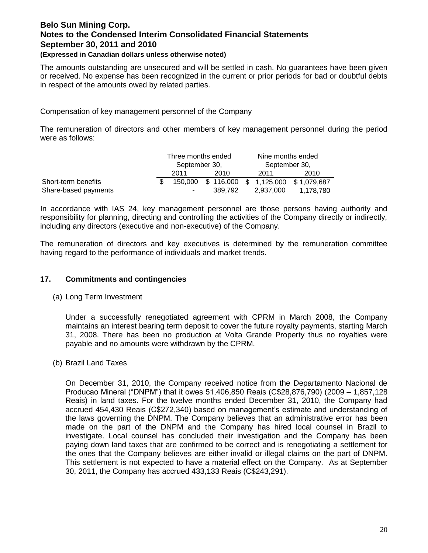#### **(Expressed in Canadian dollars unless otherwise noted)**

The amounts outstanding are unsecured and will be settled in cash. No guarantees have been given or received. No expense has been recognized in the current or prior periods for bad or doubtful debts in respect of the amounts owed by related parties.

Compensation of key management personnel of the Company

The remuneration of directors and other members of key management personnel during the period were as follows:

|                      | Three months ended |         | Nine months ended |                                              |
|----------------------|--------------------|---------|-------------------|----------------------------------------------|
|                      | September 30,      |         | September 30,     |                                              |
|                      | 2011               | 2010    | 2011              | 2010                                         |
| Short-term benefits  |                    |         |                   | 150,000 \$ 116,000 \$ 1,125,000 \$ 1,079,687 |
| Share-based payments |                    | 389.792 | 2,937,000         | 1.178.780                                    |

In accordance with IAS 24, key management personnel are those persons having authority and responsibility for planning, directing and controlling the activities of the Company directly or indirectly, including any directors (executive and non-executive) of the Company.

The remuneration of directors and key executives is determined by the remuneration committee having regard to the performance of individuals and market trends.

## **17. Commitments and contingencies**

(a) Long Term Investment

Under a successfully renegotiated agreement with CPRM in March 2008, the Company maintains an interest bearing term deposit to cover the future royalty payments, starting March 31, 2008. There has been no production at Volta Grande Property thus no royalties were payable and no amounts were withdrawn by the CPRM.

(b) Brazil Land Taxes

On December 31, 2010, the Company received notice from the Departamento Nacional de Producao Mineral ("DNPM") that it owes 51,406,850 Reais (C\$28,876,790) (2009 – 1,857,128 Reais) in land taxes. For the twelve months ended December 31, 2010, the Company had accrued 454,430 Reais (C\$272,340) based on management's estimate and understanding of the laws governing the DNPM. The Company believes that an administrative error has been made on the part of the DNPM and the Company has hired local counsel in Brazil to investigate. Local counsel has concluded their investigation and the Company has been paying down land taxes that are confirmed to be correct and is renegotiating a settlement for the ones that the Company believes are either invalid or illegal claims on the part of DNPM. This settlement is not expected to have a material effect on the Company. As at September 30, 2011, the Company has accrued 433,133 Reais (C\$243,291).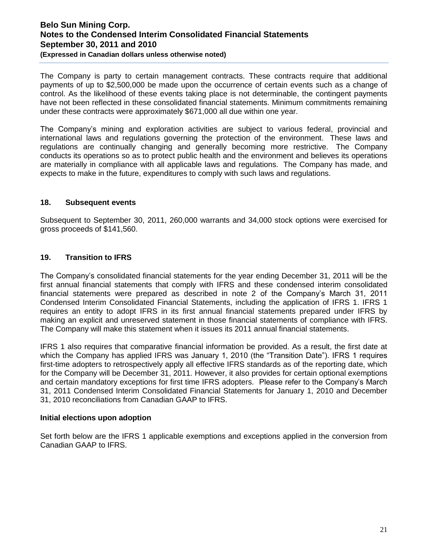**(Expressed in Canadian dollars unless otherwise noted)** 

The Company is party to certain management contracts. These contracts require that additional payments of up to \$2,500,000 be made upon the occurrence of certain events such as a change of control. As the likelihood of these events taking place is not determinable, the contingent payments have not been reflected in these consolidated financial statements. Minimum commitments remaining under these contracts were approximately \$671,000 all due within one year.

The Company's mining and exploration activities are subject to various federal, provincial and international laws and regulations governing the protection of the environment. These laws and regulations are continually changing and generally becoming more restrictive. The Company conducts its operations so as to protect public health and the environment and believes its operations are materially in compliance with all applicable laws and regulations. The Company has made, and expects to make in the future, expenditures to comply with such laws and regulations.

#### **18. Subsequent events**

Subsequent to September 30, 2011, 260,000 warrants and 34,000 stock options were exercised for gross proceeds of \$141,560.

## **19. Transition to IFRS**

The Company's consolidated financial statements for the year ending December 31, 2011 will be the first annual financial statements that comply with IFRS and these condensed interim consolidated financial statements were prepared as described in note 2 of the Company's March 31, 2011 Condensed Interim Consolidated Financial Statements, including the application of IFRS 1. IFRS 1 requires an entity to adopt IFRS in its first annual financial statements prepared under IFRS by making an explicit and unreserved statement in those financial statements of compliance with IFRS. The Company will make this statement when it issues its 2011 annual financial statements.

IFRS 1 also requires that comparative financial information be provided. As a result, the first date at which the Company has applied IFRS was January 1, 2010 (the "Transition Date"). IFRS 1 requires first-time adopters to retrospectively apply all effective IFRS standards as of the reporting date, which for the Company will be December 31, 2011. However, it also provides for certain optional exemptions and certain mandatory exceptions for first time IFRS adopters. Please refer to the Company's March 31, 2011 Condensed Interim Consolidated Financial Statements for January 1, 2010 and December 31, 2010 reconciliations from Canadian GAAP to IFRS.

#### **Initial elections upon adoption**

Set forth below are the IFRS 1 applicable exemptions and exceptions applied in the conversion from Canadian GAAP to IFRS.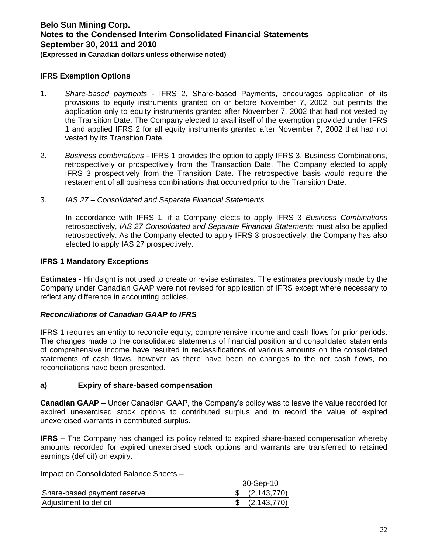#### **IFRS Exemption Options**

- 1. *Share-based payments* IFRS 2, Share-based Payments, encourages application of its provisions to equity instruments granted on or before November 7, 2002, but permits the application only to equity instruments granted after November 7, 2002 that had not vested by the Transition Date. The Company elected to avail itself of the exemption provided under IFRS 1 and applied IFRS 2 for all equity instruments granted after November 7, 2002 that had not vested by its Transition Date.
- 2. *Business combinations*  IFRS 1 provides the option to apply IFRS 3, Business Combinations, retrospectively or prospectively from the Transaction Date. The Company elected to apply IFRS 3 prospectively from the Transition Date. The retrospective basis would require the restatement of all business combinations that occurred prior to the Transition Date.
- 3. *IAS 27 – Consolidated and Separate Financial Statements*

In accordance with IFRS 1, if a Company elects to apply IFRS 3 *Business Combinations* retrospectively, *IAS 27 Consolidated and Separate Financial Statements* must also be applied retrospectively. As the Company elected to apply IFRS 3 prospectively, the Company has also elected to apply IAS 27 prospectively.

#### **IFRS 1 Mandatory Exceptions**

**Estimates** - Hindsight is not used to create or revise estimates. The estimates previously made by the Company under Canadian GAAP were not revised for application of IFRS except where necessary to reflect any difference in accounting policies.

## *Reconciliations of Canadian GAAP to IFRS*

IFRS 1 requires an entity to reconcile equity, comprehensive income and cash flows for prior periods. The changes made to the consolidated statements of financial position and consolidated statements of comprehensive income have resulted in reclassifications of various amounts on the consolidated statements of cash flows, however as there have been no changes to the net cash flows, no reconciliations have been presented.

#### **a) Expiry of share-based compensation**

**Canadian GAAP –** Under Canadian GAAP, the Company's policy was to leave the value recorded for expired unexercised stock options to contributed surplus and to record the value of expired unexercised warrants in contributed surplus.

**IFRS –** The Company has changed its policy related to expired share-based compensation whereby amounts recorded for expired unexercised stock options and warrants are transferred to retained earnings (deficit) on expiry.

Impact on Consolidated Balance Sheets –

|                             | 30-Sep-10      |
|-----------------------------|----------------|
| Share-based payment reserve | \$ (2,143,770) |
| Adjustment to deficit       | (2, 143, 770)  |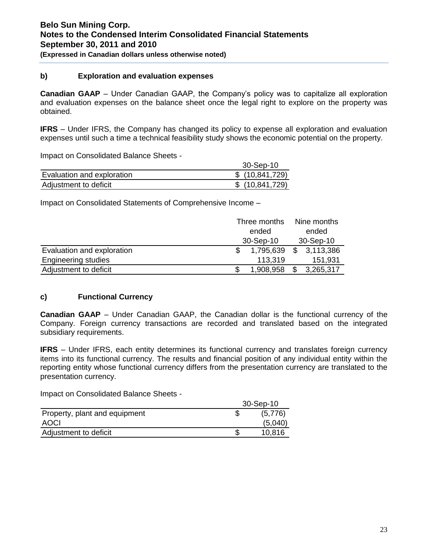## **(Expressed in Canadian dollars unless otherwise noted)**

#### **b) Exploration and evaluation expenses**

**Canadian GAAP** – Under Canadian GAAP, the Company's policy was to capitalize all exploration and evaluation expenses on the balance sheet once the legal right to explore on the property was obtained.

**IFRS** – Under IFRS, the Company has changed its policy to expense all exploration and evaluation expenses until such a time a technical feasibility study shows the economic potential on the property.

Impact on Consolidated Balance Sheets -

|                            | 30-Sep-10        |
|----------------------------|------------------|
| Evaluation and exploration | \$(10, 841, 729) |
| Adjustment to deficit      | \$(10, 841, 729) |

Impact on Consolidated Statements of Comprehensive Income –

|                            | Three months | Nine months     |
|----------------------------|--------------|-----------------|
|                            | ended        | ended           |
|                            | 30-Sep-10    | 30-Sep-10       |
| Evaluation and exploration | 1,795,639    | \$<br>3,113,386 |
| <b>Engineering studies</b> | 113,319      | 151,931         |
| Adjustment to deficit      | 1,908,958    | 3,265,317       |

## **c) Functional Currency**

**Canadian GAAP** – Under Canadian GAAP, the Canadian dollar is the functional currency of the Company. Foreign currency transactions are recorded and translated based on the integrated subsidiary requirements.

**IFRS** – Under IFRS, each entity determines its functional currency and translates foreign currency items into its functional currency. The results and financial position of any individual entity within the reporting entity whose functional currency differs from the presentation currency are translated to the presentation currency.

Impact on Consolidated Balance Sheets -

|                               | 30-Sep-10 |
|-------------------------------|-----------|
| Property, plant and equipment | (5,776)   |
| AOCI                          | (5,040)   |
| Adjustment to deficit         | 10,816    |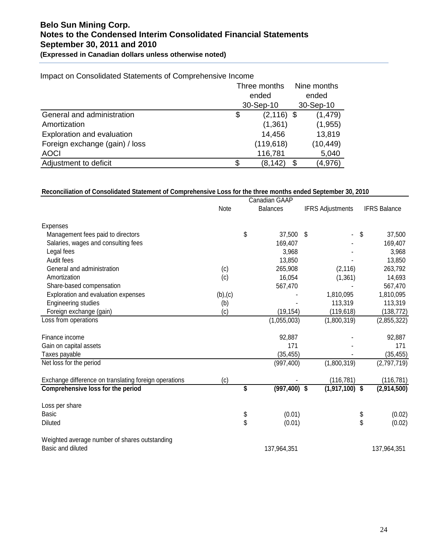## **Belo Sun Mining Corp. Notes to the Condensed Interim Consolidated Financial Statements September 30, 2011 and 2010 (Expressed in Canadian dollars unless otherwise noted)**

| Impact on Consolidated Statements of Comprehensive Income |
|-----------------------------------------------------------|
|-----------------------------------------------------------|

|                                |           | Three months  |       | Nine months |  |  |  |
|--------------------------------|-----------|---------------|-------|-------------|--|--|--|
|                                |           | ended         | ended |             |  |  |  |
|                                | 30-Sep-10 |               |       | 30-Sep-10   |  |  |  |
| General and administration     | \$        | $(2, 116)$ \$ |       | (1, 479)    |  |  |  |
| Amortization                   |           | (1,361)       |       | (1, 955)    |  |  |  |
| Exploration and evaluation     |           | 14,456        |       | 13,819      |  |  |  |
| Foreign exchange (gain) / loss |           | (119, 618)    |       | (10, 449)   |  |  |  |
| <b>AOCI</b>                    |           | 116,781       |       | 5,040       |  |  |  |
| Adjustment to deficit          | \$        | (8, 142)      | - \$  | (4,976)     |  |  |  |

#### **Reconciliation of Consolidated Statement of Comprehensive Loss for the three months ended September 30, 2010**

|                                                       | Canadian GAAP |    |                 |    |                         |                     |
|-------------------------------------------------------|---------------|----|-----------------|----|-------------------------|---------------------|
|                                                       | Note          |    | <b>Balances</b> |    | <b>IFRS Adjustments</b> | <b>IFRS Balance</b> |
| Expenses                                              |               |    |                 |    |                         |                     |
| Management fees paid to directors                     |               | \$ | 37,500          | \$ |                         | \$<br>37,500        |
| Salaries, wages and consulting fees                   |               |    | 169,407         |    |                         | 169,407             |
| Legal fees                                            |               |    | 3,968           |    |                         | 3,968               |
| Audit fees                                            |               |    | 13,850          |    |                         | 13,850              |
| General and administration                            | (c)           |    | 265,908         |    | (2, 116)                | 263,792             |
| Amortization                                          | (c)           |    | 16,054          |    | (1, 361)                | 14,693              |
| Share-based compensation                              |               |    | 567,470         |    |                         | 567,470             |
| Exploration and evaluation expenses                   | (b),(c)       |    |                 |    | 1,810,095               | 1,810,095           |
| <b>Engineering studies</b>                            | (b)           |    |                 |    | 113,319                 | 113,319             |
| Foreign exchange (gain)                               | (c)           |    | (19, 154)       |    | (119, 618)              | (138, 772)          |
| Loss from operations                                  |               |    | (1,055,003)     |    | (1,800,319)             | (2,855,322)         |
| Finance income                                        |               |    | 92,887          |    |                         | 92,887              |
| Gain on capital assets                                |               |    | 171             |    |                         | 171                 |
| Taxes payable                                         |               |    | (35, 455)       |    |                         | (35, 455)           |
| Net loss for the period                               |               |    | (997, 400)      |    | (1,800,319)             | (2,797,719)         |
| Exchange difference on translating foreign operations | (c)           |    |                 |    | (116, 781)              | (116, 781)          |
| Comprehensive loss for the period                     |               | \$ | $(997, 400)$ \$ |    | $(1,917,100)$ \$        | (2,914,500)         |
| Loss per share                                        |               |    |                 |    |                         |                     |
| <b>Basic</b>                                          |               | \$ | (0.01)          |    |                         | \$<br>(0.02)        |
| Diluted                                               |               | \$ | (0.01)          |    |                         | \$<br>(0.02)        |
| Weighted average number of shares outstanding         |               |    |                 |    |                         |                     |
| Basic and diluted                                     |               |    | 137,964,351     |    |                         | 137,964,351         |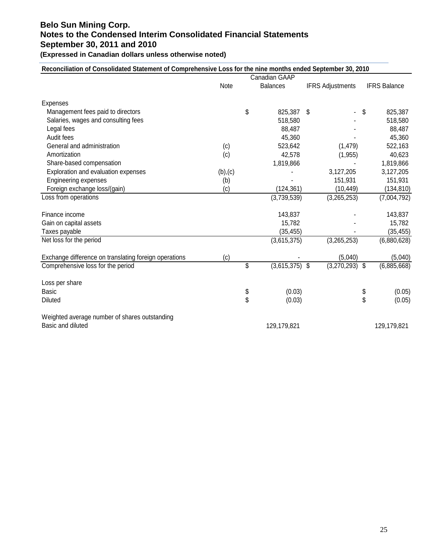**(Expressed in Canadian dollars unless otherwise noted)** 

## **Reconciliation of Consolidated Statement of Comprehensive Loss for the nine months ended September 30, 2010**

|                                                       | Canadian GAAP |    |                  |                         |    |                     |
|-------------------------------------------------------|---------------|----|------------------|-------------------------|----|---------------------|
|                                                       | Note          |    | <b>Balances</b>  | <b>IFRS Adjustments</b> |    | <b>IFRS Balance</b> |
| <b>Expenses</b>                                       |               |    |                  |                         |    |                     |
| Management fees paid to directors                     |               | \$ | 825,387          | - \$                    | S  | 825,387             |
| Salaries, wages and consulting fees                   |               |    | 518,580          |                         |    | 518,580             |
| Legal fees                                            |               |    | 88,487           |                         |    | 88,487              |
| Audit fees                                            |               |    | 45,360           |                         |    | 45,360              |
| General and administration                            | (c)           |    | 523,642          | (1, 479)                |    | 522,163             |
| Amortization                                          | (c)           |    | 42,578           | (1, 955)                |    | 40,623              |
| Share-based compensation                              |               |    | 1,819,866        |                         |    | 1,819,866           |
| Exploration and evaluation expenses                   | (b),(c)       |    |                  | 3,127,205               |    | 3,127,205           |
| <b>Engineering expenses</b>                           | (b)           |    |                  | 151,931                 |    | 151,931             |
| Foreign exchange loss/(gain)                          | (c)           |    | (124, 361)       | (10, 449)               |    | (134, 810)          |
| Loss from operations                                  |               |    | (3,739,539)      | (3,265,253)             |    | (7,004,792)         |
| Finance income                                        |               |    | 143,837          |                         |    | 143,837             |
| Gain on capital assets                                |               |    | 15,782           |                         |    | 15,782              |
| Taxes payable                                         |               |    | (35, 455)        |                         |    | (35, 455)           |
| Net loss for the period                               |               |    | (3,615,375)      | (3,265,253)             |    | (6,880,628)         |
| Exchange difference on translating foreign operations | (c)           |    |                  | (5,040)                 |    | (5,040)             |
| Comprehensive loss for the period                     |               | \$ | $(3,615,375)$ \$ | (3,270,293)             | \$ | (6,885,668)         |
| Loss per share                                        |               |    |                  |                         |    |                     |
| <b>Basic</b>                                          |               | \$ | (0.03)           |                         | \$ | (0.05)              |
| <b>Diluted</b>                                        |               | \$ | (0.03)           |                         | \$ | (0.05)              |
| Weighted average number of shares outstanding         |               |    |                  |                         |    |                     |
| Basic and diluted                                     |               |    | 129,179,821      |                         |    | 129,179,821         |